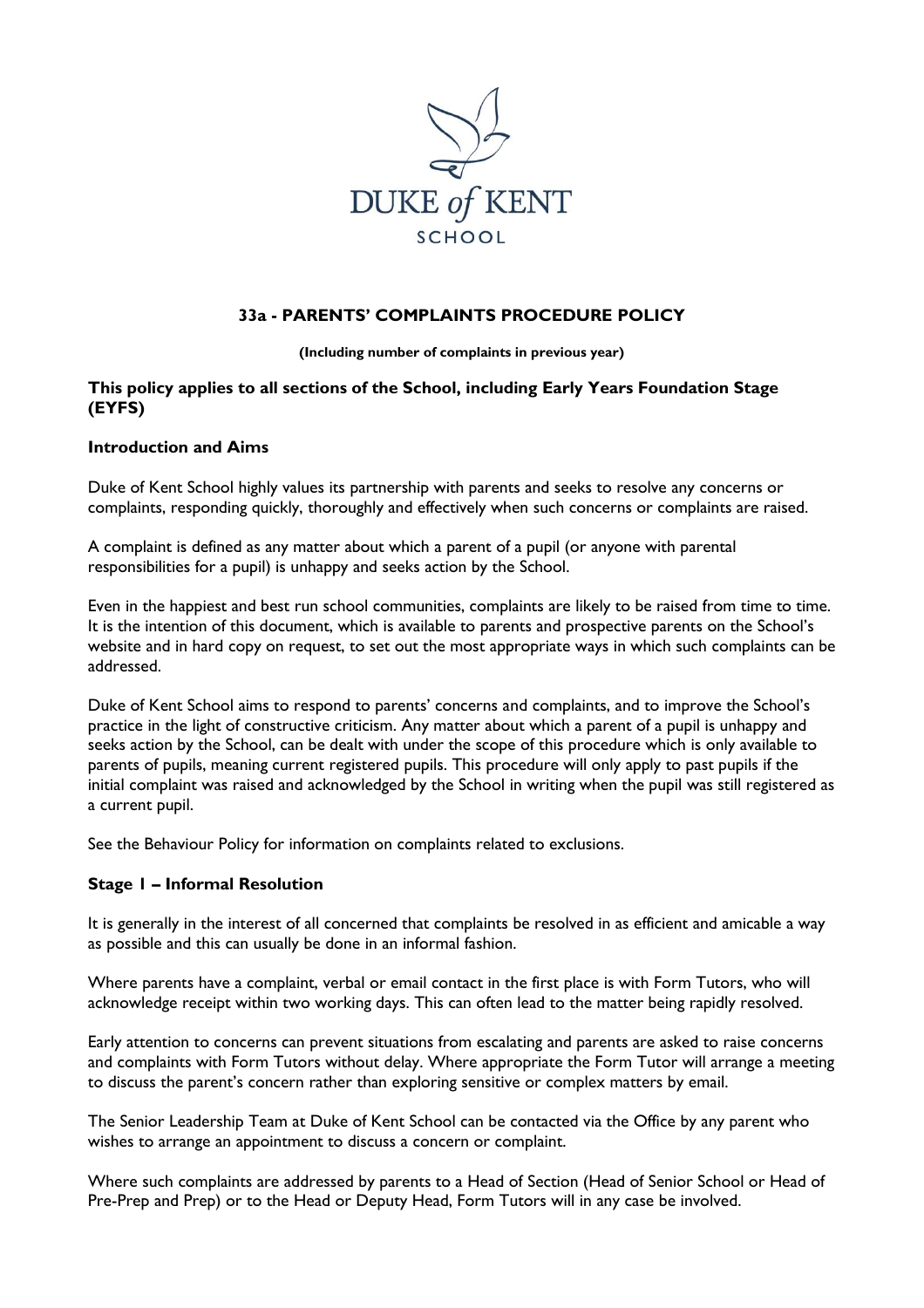

# **33a - PARENTS' COMPLAINTS PROCEDURE POLICY**

**(Including number of complaints in previous year)**

### **This policy applies to all sections of the School, including Early Years Foundation Stage (EYFS)**

#### **Introduction and Aims**

Duke of Kent School highly values its partnership with parents and seeks to resolve any concerns or complaints, responding quickly, thoroughly and effectively when such concerns or complaints are raised.

A complaint is defined as any matter about which a parent of a pupil (or anyone with parental responsibilities for a pupil) is unhappy and seeks action by the School.

Even in the happiest and best run school communities, complaints are likely to be raised from time to time. It is the intention of this document, which is available to parents and prospective parents on the School's website and in hard copy on request, to set out the most appropriate ways in which such complaints can be addressed.

Duke of Kent School aims to respond to parents' concerns and complaints, and to improve the School's practice in the light of constructive criticism. Any matter about which a parent of a pupil is unhappy and seeks action by the School, can be dealt with under the scope of this procedure which is only available to parents of pupils, meaning current registered pupils. This procedure will only apply to past pupils if the initial complaint was raised and acknowledged by the School in writing when the pupil was still registered as a current pupil.

See the Behaviour Policy for information on complaints related to exclusions.

#### **Stage 1 – Informal Resolution**

It is generally in the interest of all concerned that complaints be resolved in as efficient and amicable a way as possible and this can usually be done in an informal fashion.

Where parents have a complaint, verbal or email contact in the first place is with Form Tutors, who will acknowledge receipt within two working days. This can often lead to the matter being rapidly resolved.

Early attention to concerns can prevent situations from escalating and parents are asked to raise concerns and complaints with Form Tutors without delay. Where appropriate the Form Tutor will arrange a meeting to discuss the parent's concern rather than exploring sensitive or complex matters by email.

The Senior Leadership Team at Duke of Kent School can be contacted via the Office by any parent who wishes to arrange an appointment to discuss a concern or complaint.

Where such complaints are addressed by parents to a Head of Section (Head of Senior School or Head of Pre-Prep and Prep) or to the Head or Deputy Head, Form Tutors will in any case be involved.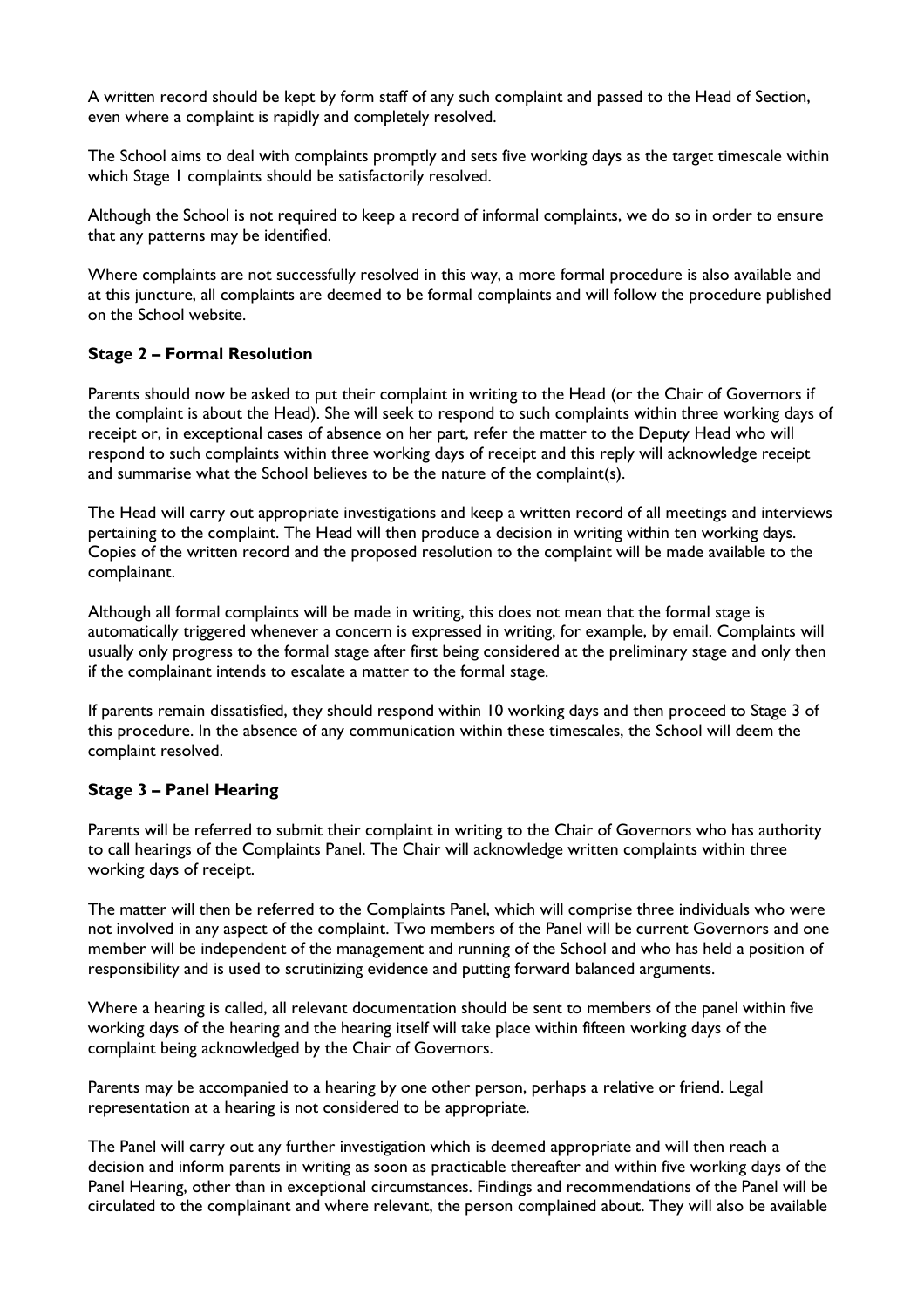A written record should be kept by form staff of any such complaint and passed to the Head of Section, even where a complaint is rapidly and completely resolved.

The School aims to deal with complaints promptly and sets five working days as the target timescale within which Stage 1 complaints should be satisfactorily resolved.

Although the School is not required to keep a record of informal complaints, we do so in order to ensure that any patterns may be identified.

Where complaints are not successfully resolved in this way, a more formal procedure is also available and at this juncture, all complaints are deemed to be formal complaints and will follow the procedure published on the School website.

#### **Stage 2 – Formal Resolution**

Parents should now be asked to put their complaint in writing to the Head (or the Chair of Governors if the complaint is about the Head). She will seek to respond to such complaints within three working days of receipt or, in exceptional cases of absence on her part, refer the matter to the Deputy Head who will respond to such complaints within three working days of receipt and this reply will acknowledge receipt and summarise what the School believes to be the nature of the complaint(s).

The Head will carry out appropriate investigations and keep a written record of all meetings and interviews pertaining to the complaint. The Head will then produce a decision in writing within ten working days. Copies of the written record and the proposed resolution to the complaint will be made available to the complainant.

Although all formal complaints will be made in writing, this does not mean that the formal stage is automatically triggered whenever a concern is expressed in writing, for example, by email. Complaints will usually only progress to the formal stage after first being considered at the preliminary stage and only then if the complainant intends to escalate a matter to the formal stage.

If parents remain dissatisfied, they should respond within 10 working days and then proceed to Stage 3 of this procedure. In the absence of any communication within these timescales, the School will deem the complaint resolved.

# **Stage 3 – Panel Hearing**

Parents will be referred to submit their complaint in writing to the Chair of Governors who has authority to call hearings of the Complaints Panel. The Chair will acknowledge written complaints within three working days of receipt.

The matter will then be referred to the Complaints Panel, which will comprise three individuals who were not involved in any aspect of the complaint. Two members of the Panel will be current Governors and one member will be independent of the management and running of the School and who has held a position of responsibility and is used to scrutinizing evidence and putting forward balanced arguments.

Where a hearing is called, all relevant documentation should be sent to members of the panel within five working days of the hearing and the hearing itself will take place within fifteen working days of the complaint being acknowledged by the Chair of Governors.

Parents may be accompanied to a hearing by one other person, perhaps a relative or friend. Legal representation at a hearing is not considered to be appropriate.

The Panel will carry out any further investigation which is deemed appropriate and will then reach a decision and inform parents in writing as soon as practicable thereafter and within five working days of the Panel Hearing, other than in exceptional circumstances. Findings and recommendations of the Panel will be circulated to the complainant and where relevant, the person complained about. They will also be available